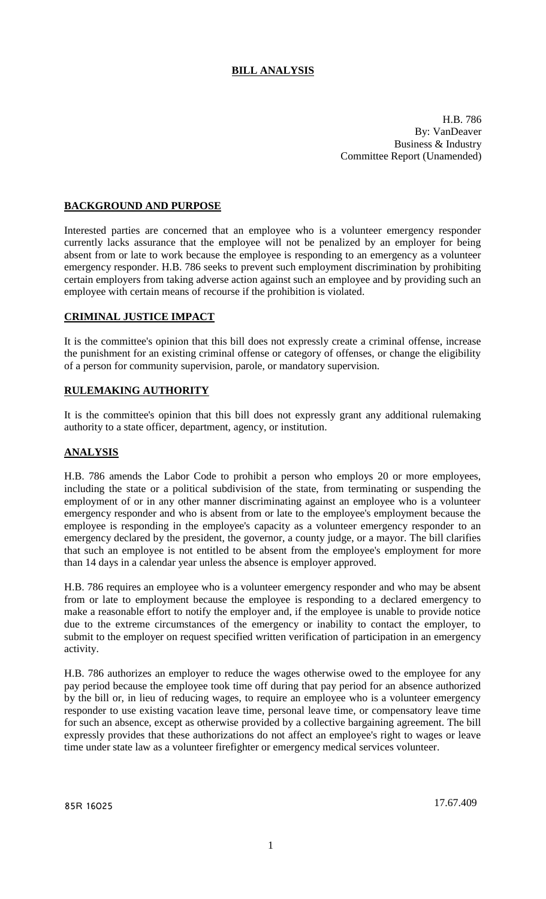## **BILL ANALYSIS**

H.B. 786 By: VanDeaver Business & Industry Committee Report (Unamended)

#### **BACKGROUND AND PURPOSE**

Interested parties are concerned that an employee who is a volunteer emergency responder currently lacks assurance that the employee will not be penalized by an employer for being absent from or late to work because the employee is responding to an emergency as a volunteer emergency responder. H.B. 786 seeks to prevent such employment discrimination by prohibiting certain employers from taking adverse action against such an employee and by providing such an employee with certain means of recourse if the prohibition is violated.

### **CRIMINAL JUSTICE IMPACT**

It is the committee's opinion that this bill does not expressly create a criminal offense, increase the punishment for an existing criminal offense or category of offenses, or change the eligibility of a person for community supervision, parole, or mandatory supervision.

#### **RULEMAKING AUTHORITY**

It is the committee's opinion that this bill does not expressly grant any additional rulemaking authority to a state officer, department, agency, or institution.

#### **ANALYSIS**

H.B. 786 amends the Labor Code to prohibit a person who employs 20 or more employees, including the state or a political subdivision of the state, from terminating or suspending the employment of or in any other manner discriminating against an employee who is a volunteer emergency responder and who is absent from or late to the employee's employment because the employee is responding in the employee's capacity as a volunteer emergency responder to an emergency declared by the president, the governor, a county judge, or a mayor. The bill clarifies that such an employee is not entitled to be absent from the employee's employment for more than 14 days in a calendar year unless the absence is employer approved.

H.B. 786 requires an employee who is a volunteer emergency responder and who may be absent from or late to employment because the employee is responding to a declared emergency to make a reasonable effort to notify the employer and, if the employee is unable to provide notice due to the extreme circumstances of the emergency or inability to contact the employer, to submit to the employer on request specified written verification of participation in an emergency activity.

H.B. 786 authorizes an employer to reduce the wages otherwise owed to the employee for any pay period because the employee took time off during that pay period for an absence authorized by the bill or, in lieu of reducing wages, to require an employee who is a volunteer emergency responder to use existing vacation leave time, personal leave time, or compensatory leave time for such an absence, except as otherwise provided by a collective bargaining agreement. The bill expressly provides that these authorizations do not affect an employee's right to wages or leave time under state law as a volunteer firefighter or emergency medical services volunteer.